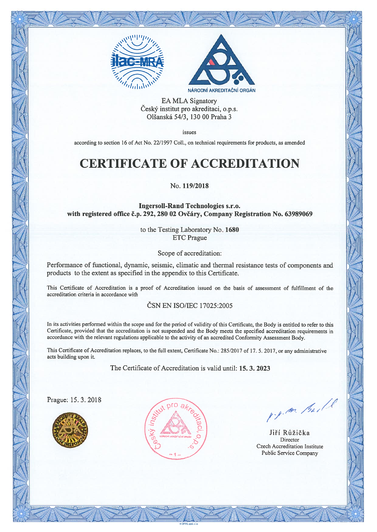



EA MLA Signatory Český institut pro akreditaci, o.p.s. Olšanská 54/3, 130 00 Praha 3

issues

according to section 16 of Act No. 22/1997 Coll., on technical requirements for products, as amended

# CERTIFICATE OF ACCREDITATION

#### No. 119/2018

Ingersoll-Rand Technologies s.r.o. with registered office ë.p. 292, 280 02 Ovëãry, Company Registration No. 63989069

> to the Testing Laboratory No. 1680 ETC Prague

> > Scope of accreditation:

Performance of functional, dynamic, seismic, climatic and thermal resistance tests of components and products to the extent as specified in the appendix to this Certificate.

This Certificate of Accreditation is <sup>a</sup> proof of Accreditation issued on the basis of assessment of fulfillment of the accreditation criteria in accordance with

#### ČSN EN ISO/IEC 17025:2005

In its activities performed within the scope and for the period of validity of this Certificate, the Body is entitled to refer to this Certificate, provided that the accreditation is not suspended and the Body meets the specified accreditation requirements in accordance with the relevant regulations applicable to the activity of an accredited Conformity Assessment Body.

This Certificate of Accreditation replaces, to the full extent, Certificate No.: 285/2017 of 17. 5. 2017, or any administrative acts building upon it.

The Certificate of Accreditation is valid until: 15. 3. 2023

Prague: 15.3.2018





 $-$  / 180. 176  $\prime$ 

Jiří Růžička Director Czech Accreditation Institute Public Service Company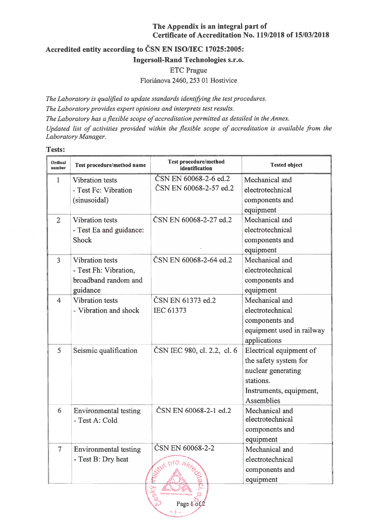# The Appendix is an integral par<sup>t</sup> of Certificate of Accreditation No. 119/2018 of 15/03/2018

# Accredited entity according to ČSN EN ISO/IEC 17025:2005: Ingersoll-Rand Technologies s.r.o. ETC Prague

Floriánova 2460, 253 01 Hostivice

The Laboratory is qualified to update standards identifying the test procedures. The Laboratory provides expert opinions and interprets test results. The Laboratory has a flexible scope of accreditation permitted as detailed in the Annex. Updated list of activities provided within the flexible scope of accreditation is available from the Laboratory Manager.

#### Tests:

| Ordinal<br>number | Test procedure/method name                                                   | <b>Test procedure/method</b><br>identification                                                   | <b>Tested object</b>                                                                                                                |  |  |
|-------------------|------------------------------------------------------------------------------|--------------------------------------------------------------------------------------------------|-------------------------------------------------------------------------------------------------------------------------------------|--|--|
| $\mathbf{1}$      | <b>Vibration tests</b><br>- Test Fc: Vibration<br>(sinusoidal)               | ČSN EN 60068-2-6 ed.2<br>ČSN EN 60068-2-57 ed.2                                                  | Mechanical and<br>electrotechnical<br>components and<br>equipment                                                                   |  |  |
| $\overline{2}$    | <b>Vibration</b> tests<br>- Test Ea and guidance:<br>Shock                   | ČSN EN 60068-2-27 ed.2                                                                           | Mechanical and<br>electrotechnical<br>components and<br>equipment                                                                   |  |  |
| 3                 | Vibration tests<br>- Test Fh: Vibration,<br>broadband random and<br>guidance | ČSN EN 60068-2-64 ed.2                                                                           | Mechanical and<br>electrotechnical<br>components and<br>equipment                                                                   |  |  |
| $\overline{4}$    | <b>Vibration</b> tests<br>- Vibration and shock                              | ČSN EN 61373 ed.2<br><b>IEC 61373</b>                                                            | Mechanical and<br>electrotechnical<br>components and<br>equipment used in railway<br>applications                                   |  |  |
| 5                 | Seismic qualification                                                        | ČSN IEC 980, cl. 2.2, cl. 6                                                                      | Electrical equipment of<br>the safety system for<br>nuclear generating<br>stations.<br>Instruments, equipment,<br><b>Assemblies</b> |  |  |
| 6                 | Environmental testing<br>- Test A: Cold                                      | ČSN EN 60068-2-1 ed.2                                                                            | Mechanical and<br>electrotechnical<br>components and<br>equipment                                                                   |  |  |
| $\overline{7}$    | Environmental testing<br>- Test B: Dry heat                                  | ČSN EN 60068-2-2<br>situt pro akreer<br><b>Cyc<sup>o</sup></b><br><b>HARDAN MATERIAL INCOMER</b> | Mechanical and<br>electrotechnical<br>components and<br>equipment                                                                   |  |  |
| Page 1 of 2       |                                                                              |                                                                                                  |                                                                                                                                     |  |  |

m fill